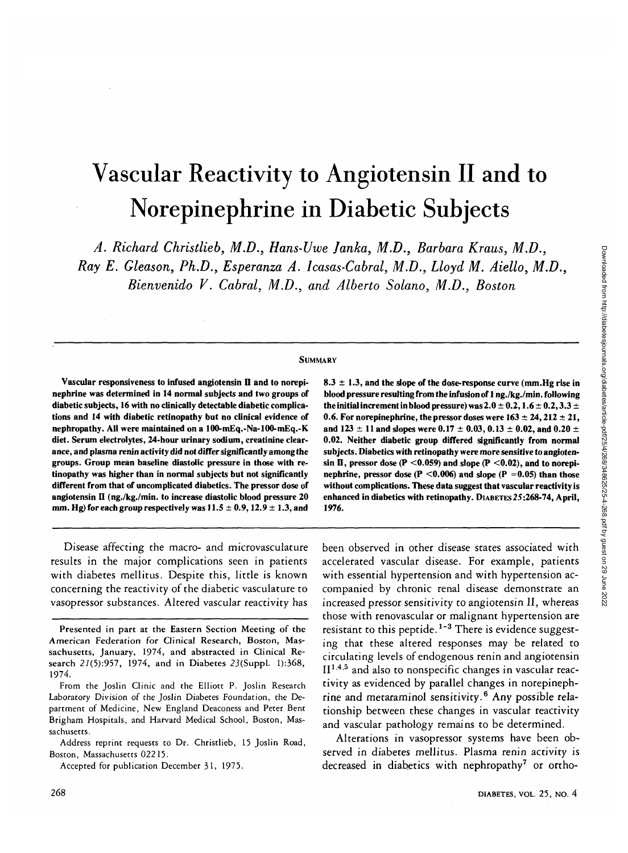# Vascular Reactivity to Angiotensin II and to Norepinephrine in Diabetic Subjects

*A. Richard Christlieb, M.D., Hans-Uwe Janka, M.D., Barbara Kraus, M.D., Ray E. Gleason, Ph.D., Esperanza A. Icasas-Cabral, M.D., Lloyd M. Aiello, M.D.,*

*Bienvenido V. Cabral, M.D., and Alberto Solano, M.D., Boston*

#### **SUMMARY**

**Vascular responsiveness to infused angiotensin II and to norepinephrine was determined in 14 normal subjects and two groups of diabetic subjects, 16 with no clinically detectable diabetic complications and 14 with diabetic retinopathy but no clinical evidence of nephropathy. All were maintained on a lOO-mEq.-Na-100-mEq.-K diet. Serum electrolytes, 24-hour urinary sodium, creatinine clearance, and plasma renin activity did not differ significantly among the groups. Group mean baseline diastolic pressure in those with retinopathy was higher than in normal subjects but not significantly different from that of uncomplicated diabetics. The pressor dose of angiotensin II (ng./kg./min. to increase diastolic blood pressure 20 mm. Hg) for each group respectively was 11.5 ± 0.9,12.9 ± 1.3, and**

Disease affecting the macro- and microvasculature results in the major complications seen in patients with diabetes mellitus. Despite this, little is known concerning the reactivity of the diabetic vasculature to vasopressor substances. Altered vascular reactivity has

**8.3 ± 1.3, and the slope of the dose-response curve (mm.Hg rise in blood pressure resulting from the infusion of 1 ng./kg./min. following** the initial increment in blood pressure) was  $2.0 \pm 0.2$ ,  $1.6 \pm 0.2$ ,  $3.3 \pm 0.2$ **0.6. For norepinephrine, the pressor doses were**  $163 \pm 24$ **,**  $212 \pm 21$ **, and 123 ± 11 and slopes were 0.17 ± 0.03, 0.13 ± 0.02, and 0.20 ± 0.02. Neither diabetic group differed significantly from normal subjects. Diabetics with retinopathy were more sensitive to angioten-** $\sin \Pi$ , pressor dose (P < 0.059) and slope (P < 0.02), and to norepi**nephrine, pressor dose (P**  $\leq$  **0.006) and slope (P**  $=$  **0.05) than those without complications. These data suggest that vascular reactivity is enhanced in diabetics with retinopathy. DIABETES25:268-74, April, 1976.**

been observed in other disease states associated with accelerated vascular disease. For example, patients with essential hypertension and with hypertension accompanied by chronic renal disease demonstrate an increased pressor sensitivity to angiotensin II, whereas those with renovascular or malignant hypertension are resistant to this peptide.<sup>1-3</sup> There is evidence suggesting that these altered responses may be related to circulating levels of endogenous renin and angiotensin  $II^{1,4,5}$  and also to nonspecific changes in vascular reactivity as evidenced by parallel changes in norepinephrine and metaraminol sensitivity.<sup>6</sup> Any possible relationship between these changes in vascular reactivity and vascular pathology remains to be determined.

Alterations in vasopressor systems have been observed in diabetes mellitus. Plasma renin activity is decreased in diabetics with nephropathy<sup>7</sup> or ortho-

Presented in part at the Eastern Section Meeting of the American Federation for Clinical Research, Boston, Massachusetts, January, 1974, and abstracted in Clinical Research 27(5):957, 1974, and in Diabetes 23(Suppl. 1):368, 1974.

From the Joslin Clinic and the Elliott P. Joslin Research Laboratory Division of the Joslin Diabetes Foundation, the Department of Medicine, New England Deaconess and Peter Bent Brigham Hospitals, and Harvard Medical School, Boston, Massachusetts.

Address reprint requests to Dr. Christlieb, 15 Joslin Road, Boston, Massachusetts 02215.

Accepted for publication December 31, 1975.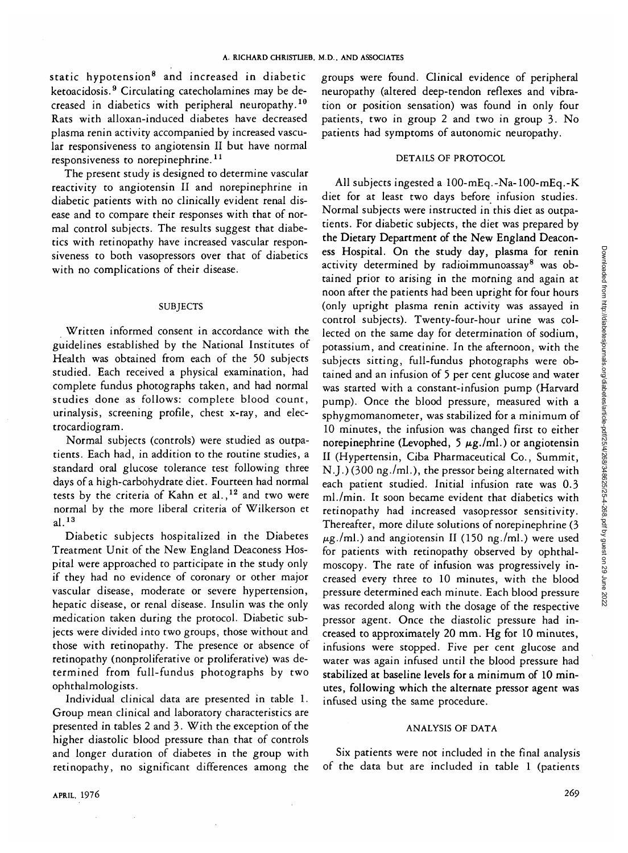static hypotension<sup>8</sup> and increased in diabetic ketoacidosis.<sup>9</sup> Circulating catecholamines may be decreased in diabetics with peripheral neuropathy.<sup>10</sup> Rats with alloxan-induced diabetes have decreased plasma renin activity accompanied by increased vascular responsiveness to angiotensin II but have normal responsiveness to norepinephrine.<sup>11</sup>

The present study is designed to determine vascular reactivity to angiotensin II and norepinephrine in diabetic patients with no clinically evident renal disease and to compare their responses with that of normal control subjects. The results suggest that diabetics with retinopathy have increased vascular responsiveness to both vasopressors over that of diabetics with no complications of their disease.

## **SUBJECTS**

Written informed consent in accordance with the guidelines established by the National Institutes of Health was obtained from each of the 50 subjects studied. Each received a physical examination, had complete fundus photographs taken, and had normal studies done as follows: complete blood count, urinalysis, screening profile, chest x-ray, and electrocardiogram.

Normal subjects (controls) were studied as outpatients. Each had, in addition to the routine studies, a standard oral glucose tolerance test following three days of a high-carbohydrate diet. Fourteen had normal tests by the criteria of Kahn et al.,  $12$  and two were normal by the more liberal criteria of Wilkerson et al.<sup>13</sup>

Diabetic subjects hospitalized in the Diabetes Treatment Unit of the New England Deaconess Hospital were approached to participate in the study only if they had no evidence of coronary or other major vascular disease, moderate or severe hypertension, hepatic disease, or renal disease. Insulin was the only medication taken during the protocol. Diabetic subjects were divided into two groups, those without and those with retinopathy. The presence or absence of retinopathy (nonproliferative or proliferative) was determined from full-fundus photographs by two ophthalmologists.

Individual clinical data are presented in table 1. Group mean clinical and laboratory characteristics are presented in tables 2 and 3. With the exception of the higher diastolic blood pressure than that of controls and longer duration of diabetes in the group with retinopathy, no significant differences among the groups were found. Clinical evidence of peripheral neuropathy (altered deep-tendon reflexes and vibration or position sensation) was found in only four patients, two in group 2 and two in group 3. No patients had symptoms of autonomic neuropathy.

## DETAILS OF PROTOCOL

All subjects ingested a lOO-mEq.-Na-100-mEq.-K diet for at least two days before infusion studies. Normal subjects were instructed in this diet as outpatients. For diabetic subjects, the diet was prepared by the Dietary Department of the New England Deaconess Hospital. On the study day, plasma for renin activity determined by radioimmunoassay<sup>8</sup> was obtained prior to arising in the morning and again at noon after the patients had been upright for four hours (only upright plasma renin activity was assayed in control subjects). Twenty-four-hour urine was collected on the same day for determination of sodium, potassium, and creatinine. In the afternoon, with the subjects sitting, full-fundus photographs were obtained and an infusion of 5 per cent glucose and water was started with a constant-infusion pump (Harvard pump). Once the blood pressure, measured with a sphygmomanometer, was stabilized for a minimum of 10 minutes, the infusion was changed first to either norepinephrine (Levophed, 5  $\mu$ g./ml.) or angiotensin 11 (Hypertensin, Ciba Pharmaceutical Co., Summit, NJ.) (300 ng./ml.), the pressor being alternated with each patient studied. Initial infusion rate was 0.3 ml./min. It soon became evident that diabetics with retinopathy had increased vasopressor sensitivity. Thereafter, more dilute solutions of norepinephrine (3  $\mu$ g./ml.) and angiotensin II (150 ng./ml.) were used for patients with retinopathy observed by ophthalmoscopy. The rate of infusion was progressively increased every three to 10 minutes, with the blood pressure determined each minute. Each blood pressure was recorded along with the dosage of the respective pressor agent. Once the diastolic pressure had increased to approximately 20 mm. Hg for 10 minutes, infusions were stopped. Five per cent glucose and water was again infused until the blood pressure had stabilized at baseline levels for a minimum of 10 minutes, following which the alternate pressor agent was infused using the same procedure.

### ANALYSIS OF DATA

Six patients were not included in the final analysis of the data but are included in table 1 (patients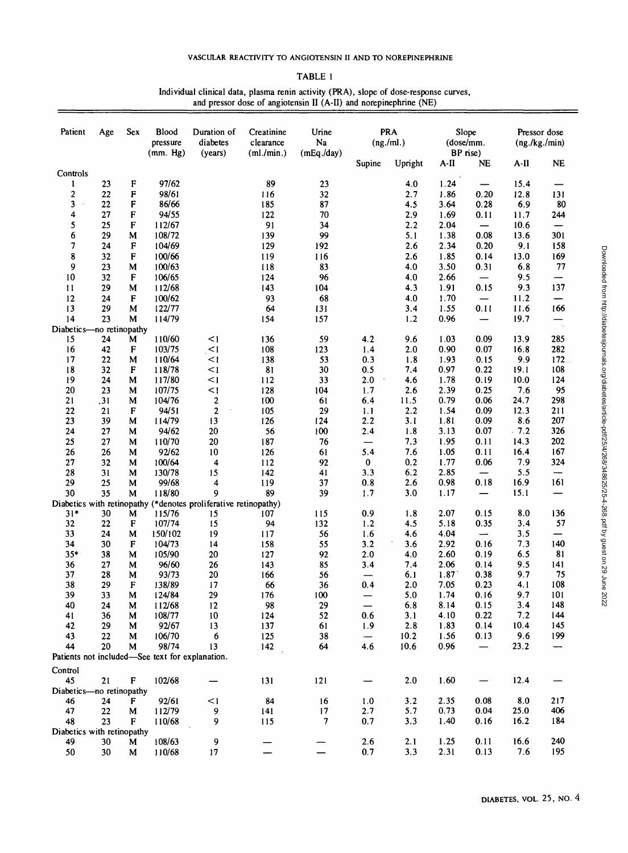| ۰.<br>۰.<br>۰, |  |
|----------------|--|
|----------------|--|

Individual clinical data, plasma renin activity (PRA), slope of dose-response curves, and pressor dose of angiotensin II (A-II) and norepinephrine (NE)

| Patient                    | Age      | Sex | Blood<br>pressure                               | Duration of<br>diabetes                                         | Creatinine<br>clearance | Urine<br>Na    | <b>PRA</b><br>(ng./ml.)  |            | Slope<br>(dose/mm.<br>BP rise) |                                | Pressor dose<br>(ng./kg./min) |          |
|----------------------------|----------|-----|-------------------------------------------------|-----------------------------------------------------------------|-------------------------|----------------|--------------------------|------------|--------------------------------|--------------------------------|-------------------------------|----------|
|                            |          |     | (mm. Hg)                                        | (years)                                                         | (ml./min.)              | (mEq./day)     | Supine                   | Upright    | A-II                           | NE                             | A-II                          | NE       |
| Controls                   |          |     |                                                 |                                                                 |                         |                |                          |            |                                |                                |                               |          |
| 1                          | 23       | F   | 97/62                                           |                                                                 | 89                      | 23             |                          | 4.0        | 1.24                           |                                | 15.4                          |          |
| 2                          | 22       | F   | 98/61                                           |                                                                 | 116                     | 32             |                          | 2.7        | 1.86                           | 0.20                           | 12.8                          | 131      |
| 3                          | 22       | F   | 86/66                                           |                                                                 | 185                     | 87             |                          | 4.5        | 3.64                           | 0.28                           | 6.9                           | 80       |
| 4                          | 27       | F   | 94/55                                           |                                                                 | 122                     | 70             |                          | 2.9        | 1.69                           | 0.11                           | 11.7                          | 244      |
| 5                          | 25       | F   | 112/67                                          |                                                                 | 91                      | 34             |                          | 2.2        | 2.04                           | $\qquad \qquad \longleftarrow$ | 10.6                          | —        |
| 6                          | 29       | M   | 108/72                                          |                                                                 | 139                     | 99             |                          | 5.1        | 1.38                           | 0.08                           | 13.6                          | 301      |
| 7                          | 24       | F   | 104/69                                          |                                                                 | 129                     | 192            |                          | 2.6        | 2.34                           | 0.20                           | 9.1                           | 158      |
| 8                          | 32       | F   | 100/66                                          |                                                                 | 119                     | 116            |                          | 2.6        | 1.85                           | 0.14                           | 13.0                          | 169      |
| 9                          | 23       | M   | 100/63                                          |                                                                 | 118                     | 83             |                          | 4.0        | 3.50                           | 0.31                           | 6.8                           | 77       |
| 10                         | 32       | F   | 106/65                                          |                                                                 | 124                     | 96             |                          | 4.0        | 2.66                           |                                | 9.5                           | ----     |
| 11                         | 29       | M   | 112/68                                          |                                                                 | 143                     | 104            |                          | 4.3        | 1.91                           | 0.15                           | 9.3                           | 137      |
| 12                         | 24       | F   | 100/62                                          |                                                                 | 93                      | 68             |                          | 4.0        | 1.70                           | $\overline{\phantom{0}}$       | 11.2                          |          |
| 13                         | 29       | M   | 122/77                                          |                                                                 | 64                      | 131            |                          | 3.4        | 1.55                           | 0.11                           | 11.6                          | 166      |
| 14                         | 23       | M   | 114/79                                          |                                                                 | 154                     | 157            |                          | 1.2        | 0.96                           | —                              | 19.7                          |          |
| Diabetics-no retinopathy   |          |     |                                                 |                                                                 |                         |                |                          |            |                                |                                |                               |          |
| 15                         | 24       | M   | 110/60                                          | $\leq$ 1                                                        | 136                     | 59             | 4.2                      | 9.6        | 1.03                           | 0.09                           | 13.9                          | 285      |
| 16                         | 42       | F   | 103/75                                          | $\leq$ 1                                                        | 108                     | 123            | 1.4                      | 2.0        | 0.90                           | 0.07                           | 16.8                          | 282      |
| 17                         | 22       | M   | 110/64                                          | <1                                                              | 138                     | 53             | 0.3                      | 1.8        | 1.93                           | 0.15                           | 9.9                           | 172      |
| 18                         | 32       | F   | 118/78                                          | <1                                                              | 81                      | 30             | 0.5                      | 7.4        | 0.97                           | 0.22                           | 19.1                          | 108      |
| 19                         | 24       | M   | 117/80                                          | <1                                                              | 112                     | 33             | 2.0                      | 4.6        | 1.78                           | 0.19                           | 10.0                          | 124      |
| 20                         | 23       | M   | 107/75                                          | $\leq$ 1                                                        | 128                     | 104            | 1.7                      | 2.6        | 2.39                           | 0.25                           | 7.6                           | 95       |
| 21                         | , 31     | M   | 104/76                                          | $\mathbf 2$                                                     | 100                     | 61             | 6.4                      | 11.5       | 0.79                           | 0.06                           | 24.7                          | 298      |
| 22                         | 21       | F   | 94/51                                           | $\mathbf{2}$                                                    | 105                     | 29             | 1.1                      | 2.2        | 1.54                           | 0.09                           | 12.3                          | 211      |
| 23                         | 39       | M   | 114/79                                          | 13                                                              | 126                     | 124            | 2.2                      | 3.1        | 1.81                           | 0.09                           | 8.6                           | 207      |
| 24                         | 27       | M   | 94/62                                           | 20                                                              | 56                      | 100            | 2.4                      | 1.8        | 3.13                           | 0.07                           | .7.2                          | 326      |
| 25                         | 27       | М   | 110/70                                          | 20                                                              | 187                     | 76             | —                        | 7.3        | 1.95                           | 0.11                           | 14.3                          | 202      |
| 26                         | 26       | M   | 92/62                                           | 10                                                              | 126                     | 61             | 5.4                      | 7.6        | 1.05                           | 0.11                           | 16.4                          | 167      |
| 27                         | 32       | M   | 100/64                                          | $\overline{\mathbf{4}}$                                         | 112                     | 92             | 0                        | 0.2        | 1.77                           | 0.06                           | 7.9                           | 324      |
| 28                         | 31       | М   | 130/78                                          | 15                                                              | 142                     | 41             | 3.3                      | 6.2        | 2.85                           |                                | 5.5                           | —<br>161 |
| 29                         | 25<br>35 | M   | 99/68<br>118/80                                 | 4<br>9                                                          | 119<br>89               | 37<br>39       | 0.8<br>1.7               | 2.6<br>3.0 | 0.98                           | 0.18                           | 16.9<br>15.1                  |          |
| 30                         |          | M   |                                                 | Diabetics with retinopathy (*denotes proliferative retinopathy) |                         |                |                          |            | 1.17                           |                                |                               |          |
| $31*$                      | 30       | M   | 115/76                                          | 15                                                              | 107                     | 115            | 0.9                      | 1.8        | 2.07                           | 0.15                           | 8.0                           | 136      |
| 32                         | 22       | F   | 107/74                                          | 15                                                              | 94                      | 132            | 1.2                      | 4.5        | 5.18                           | 0.35                           | 3.4                           | 57       |
| 33                         | 24       | М   | 150/102                                         | 19                                                              | 117                     | 56             | 1.6                      | 4.6        | 4.04                           | $\overline{\phantom{0}}$       | 3.5                           | —        |
| 34                         | 30       | F   | 104/73                                          | 14                                                              | 158                     | 55             | 3.2                      | 3.6        | 2.92                           | 0.16                           | 7.3                           | 140      |
| $35*$                      | 38       | M   | 105/90                                          | 20                                                              | 127                     | 92             | 2.0                      | 4.0        | 2.60                           | 0.19                           | 6.5                           | 81       |
| 36                         | 27       | M   | 96/60                                           | 26                                                              | 143                     | 85             | 3.4                      | 7.4        | 2.06                           | 0.14                           | 9.5                           | 141      |
| 37                         | 28       | M   | 93/73                                           | 20                                                              | 166                     | 56             |                          | 6.1        | 1.87                           | 0.38                           | 9.7                           | 75       |
| 38                         | 29       | F   | 138/89                                          | 17                                                              | 66                      | 36             | 0.4                      | 2.0        | 7.05                           | 0.23                           | 4.1                           | 108      |
| 39                         | 33       | M   | 124/84                                          | 29                                                              | 176                     | 100            |                          | 5.0        | 1.74                           | 0.16                           | 9.7                           | 101      |
| 40                         | 24       | M   | 112/68                                          | 12                                                              | 98                      | 29             | $\overline{\phantom{0}}$ | 6.8        | 8.14                           | 0.15                           | 3.4                           | 148      |
| 41                         | 36       | M   | 108/77                                          | 10                                                              | 124                     | 52             | 0.6                      | 3.1        | 4.10                           | 0.22                           | 7.2                           | 144      |
| 42                         | 29       | M   | 92/67                                           | 13                                                              | 137                     | 61             | 1.9                      | 2.8        | 1.83                           | 0.14                           | 10.4                          | 145      |
| 43                         | 22       | M   | 106/70                                          | 6                                                               | 125                     | 38             | $\overline{\phantom{m}}$ | 10.2       | 1.56                           | 0.13                           | 9.6                           | 199      |
| 44                         | 20       | М   | 98/74                                           | 13                                                              | 142                     | 64             | 4.6                      | 10.6       | 0.96                           | $\qquad \qquad -$              | 23.2                          | --       |
|                            |          |     | Patients not included-See text for explanation. |                                                                 |                         |                |                          |            |                                |                                |                               |          |
| Control                    |          |     |                                                 |                                                                 |                         |                |                          |            |                                |                                |                               |          |
| 45                         | 21       | F   | 102/68                                          |                                                                 | 131                     | 121            |                          | 2.0        | 1.60                           |                                | 12.4                          |          |
| Diabetics-no retinopathy   |          |     |                                                 |                                                                 |                         |                |                          |            |                                |                                |                               |          |
| 46                         | 24       | F   | 92/61                                           | $<$ 1                                                           | 84                      | 16             | 1.0                      | 3.2        | 2.35                           | 0.08                           | 8.0                           | 217      |
| 47                         | 22       | M   | 112/79                                          | 9                                                               | 141                     | 17             | 2.7                      | 5.7        | 0.73                           | 0.04                           | 25.0                          | 406      |
| 48                         | 23       | F   | 110/68                                          | 9                                                               | 115                     | $\overline{7}$ | 0.7                      | 3.3        | 1.40                           | 0.16                           | 16.2                          | 184      |
| Diabetics with retinopathy |          |     |                                                 |                                                                 |                         |                |                          |            |                                |                                |                               |          |
| 49                         | 30       | M   | 108/63                                          | 9                                                               |                         |                | 2.6                      | 2.1        | 1.25                           | 0.11                           | 16.6                          | 240      |
| 50                         | 30       | M   | 110/68                                          | 17                                                              |                         |                | 0.7                      | 3.3        | 2.31                           | 0.13                           | 7.6                           | 195      |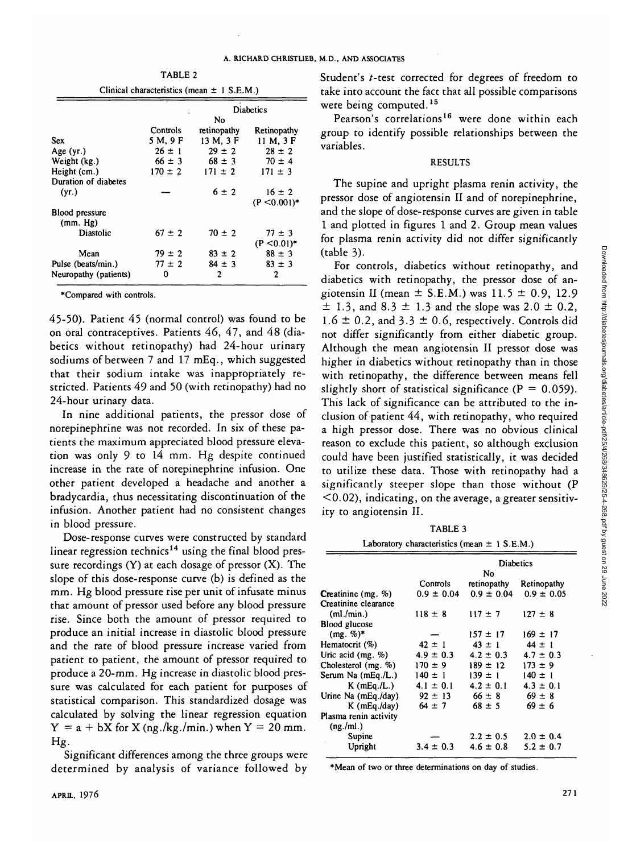| Clinical characteristics (mean $\pm$ 1 S.E.M.) |             |                        |                |  |  |
|------------------------------------------------|-------------|------------------------|----------------|--|--|
|                                                |             | <b>Diabetics</b><br>No |                |  |  |
|                                                | Controls    | retinopathy            | Retinopathy    |  |  |
| Sex                                            | 5 M, 9 F    | 13 M, 3 F              | 11 M, 3 F      |  |  |
| Age $(yr.)$                                    | $26 \pm 1$  | $29 \pm 2$             | $28 \pm 2$     |  |  |
| Weight (kg.)                                   | $66 \pm 3$  | $68 \pm 3$             | $70 \pm 4$     |  |  |
| Height (cm.)                                   | $170 \pm 2$ | $171 \pm 2$            | $171 \pm 3$    |  |  |
| Duration of diabetes                           |             |                        |                |  |  |
| (yr.)                                          |             | $6 \pm 2$              | $16 \pm 2$     |  |  |
|                                                |             |                        | $(P < 0.001)*$ |  |  |
| <b>Blood pressure</b><br>(mm. Hg)              |             |                        |                |  |  |
| Diastolic                                      | $67 \pm 2$  | $70 \pm 2$             | $77 \pm 3$     |  |  |
|                                                |             |                        | $(P < 0.01)*$  |  |  |
| Mean                                           | $79 \pm 2$  | $83 \pm 2$             | $88 \pm 3$     |  |  |
| Pulse (beats/min.)                             | $77 \pm 2$  | $84 \pm 3$             | $83 \pm 3$     |  |  |
| Neuropathy (patients)                          | 0           | 2                      | 2              |  |  |

TABLE 2

•Compared with controls.

45-50). Patient 45 (normal control) was found to be on oral contraceptives. Patients 46, 47, and 48 (diabetics without retinopathy) had 24-hour urinary sodiums of between 7 and 17 mEq., which suggested that their sodium intake was inappropriately restricted. Patients 49 and 50 (with retinopathy) had no 24-hour urinary data.

In nine additional patients, the pressor dose of norepinephrine was not recorded. In six of these patients the maximum appreciated blood pressure elevation was only 9 to 14 mm. Hg despite continued increase in the rate of norepinephrine infusion. One other patient developed a headache and another a bradycardia, thus necessitating discontinuation of the infusion. Another patient had no consistent changes in blood pressure.

Dose-response curves were constructed by standard linear regression technics<sup>14</sup> using the final blood pressure recordings (Y) at each dosage of pressor (X). The slope of this dose-response curve (b) is defined as the mm. Hg blood pressure rise per unit of infusate minus that amount of pressor used before any blood pressure rise. Since both the amount of pressor required to produce an initial increase in diastolic blood pressure and the rate of blood pressure increase varied from patient to patient, the amount of pressor required to produce a 20-mm. Hg increase in diastolic blood pressure was calculated for each patient for purposes of statistical comparison. This standardized dosage was calculated by solving the linear regression equation  $Y = a + bX$  for X (ng./kg./min.) when  $Y = 20$  mm.  $Hg.$ 

Significant differences among the three groups were determined by analysis of variance followed by Student's t-test corrected for degrees of freedom to take into account the fact that all possible comparisons were being computed.<sup>15</sup>

Pearson's correlations<sup>16</sup> were done within each group to identify possible relationships between the variables.

## RESULTS

The supine and upright plasma renin activity, the pressor dose of angiotensin II and of norepinephrine, and the slope of dose-response curves are given in table 1 and plotted in figures 1 and 2. Group mean values for plasma renin activity did not differ significantly (table 3).

For controls, diabetics without retinopathy, and diabetics with retinopathy, the pressor dose of angiotensin II (mean  $\pm$  S.E.M.) was 11.5  $\pm$  0.9, 12.9  $\pm$  1.3, and 8.3  $\pm$  1.3 and the slope was 2.0  $\pm$  0.2,  $1.6 \pm 0.2$ , and  $3.3 \pm 0.6$ , respectively. Controls did not differ significantly from either diabetic group. Although the mean angiotensin II pressor dose was higher in diabetics without retinopathy than in those with retinopathy, the difference between means fell slightly short of statistical significance ( $P = 0.059$ ). This lack of significance can be attributed to the inclusion of patient 44, with retinopathy, who required a high pressor dose. There was no obvious clinical reason to exclude this patient, so although exclusion could have been justified statistically, it was decided to utilize these data. Those with retinopathy had a significantly steeper slope than those without (P  $(0.02)$ , indicating, on the average, a greater sensitivity to angiotensin II.

TABLE 3

|                            | Laboratory characteristics (mean $\pm$ 1 S.E.M.) |                        |                |  |  |  |  |
|----------------------------|--------------------------------------------------|------------------------|----------------|--|--|--|--|
|                            |                                                  | <b>Diabetics</b><br>No |                |  |  |  |  |
|                            | Controls                                         | retinopathy            | Retinopathy    |  |  |  |  |
| <b>Creatinine</b> $(mg. %$ | $0.9 \pm 0.04$                                   | $0.9 \pm 0.04$         | $0.9 \pm 0.05$ |  |  |  |  |
| Creatinine clearance       |                                                  |                        |                |  |  |  |  |
| (ml./min.)                 | $118 \pm 8$                                      | $117 \pm 7$            | $127 \pm 8$    |  |  |  |  |
| <b>Blood glucose</b>       |                                                  |                        |                |  |  |  |  |
| (mg. %)                    |                                                  | $157 \pm 17$           | $169 \pm 17$   |  |  |  |  |
| Hematocrit (%)             | $42 \pm 1$                                       | $43 \pm 1$             | $44 \pm 1$     |  |  |  |  |
| Uric acid $(mg. %$         | $4.9 \pm 0.3$                                    | $4.2 \pm 0.3$          | $4.7 \pm 0.3$  |  |  |  |  |
| Cholesterol (mg. %)        | $170 \pm 9$                                      | $189 \pm 12$           | $173 \pm 9$    |  |  |  |  |
| Serum Na (mEq./L.)         | $140 \pm 1$                                      | $139 \pm 1$            | $140 \pm 1$    |  |  |  |  |
| $K$ (mEq./L.)              | $4.1 \pm 0.1$                                    | $4.2 \pm 0.1$          | $4.3 \pm 0.1$  |  |  |  |  |
| Urine Na (mEq./day)        | $92 \pm 13$                                      | $66 \pm 8$             | $69 \pm 8$     |  |  |  |  |
| $K$ (mEq./day)             | $64 \pm 7$                                       | $68 \pm 5$             | $69 \pm 6$     |  |  |  |  |
| Plasma renin activity      |                                                  |                        |                |  |  |  |  |
| (ng./ml.)                  |                                                  |                        |                |  |  |  |  |
| Supine                     |                                                  | $2.2 \pm 0.5$          | $2.0 \pm 0.4$  |  |  |  |  |
| Upright                    | $3.4 \pm 0.3$                                    | $4.6 \pm 0.8$          | $5.2 \pm 0.7$  |  |  |  |  |
|                            |                                                  |                        |                |  |  |  |  |

•Mean of two or three determinations on day of studies.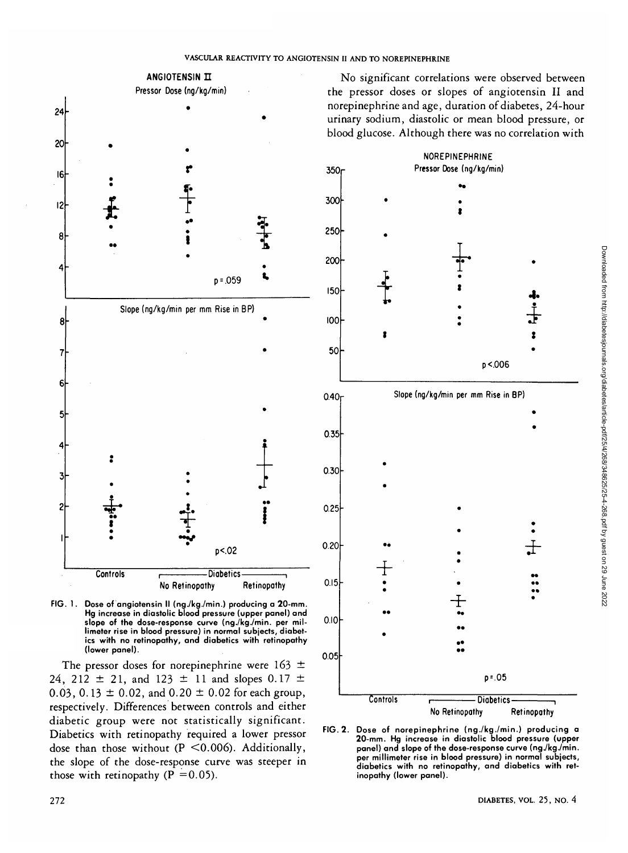350-

300



**FIG. 1 Dose of angiotensin II (ng./kg./min.) producing a 20-mm. Hg increase in diastolic blood pressure (upper panel) and slope of the dose-response curve (ng./kg./min. per millimeter rise in blood pressure) in normal subjects, diabetics with no retinopathy, and diabetics with retinopathy (lower panel).**

The pressor doses for norepinephrine were 163 *—* 24, 212  $\pm$  21, and 123  $\pm$  11 and slopes 0.17  $\pm$ 0.03, 0.13  $\pm$  0.02, and 0.20  $\pm$  0.02 for each group, respectively. Differences between controls and either diabetic group were not statistically significant. Diabetics with retinopathy required a lower pressor dose than those without ( $P \le 0.006$ ). Additionally, the slope of the dose-response curve was steeper in those with retinopathy ( $P = 0.05$ ).

No significant correlations were observed between the pressor doses or slopes of angiotensin II and norepinephrine and age, duration of diabetes, 24-hour urinary sodium, diastolic or mean blood pressure, or blood glucose. Although there was no correlation with

> NOREPINEPHRINE Pressor Dose (ng/kg/min)



**FIG. 2. Dose of norepinephrine (ng./kg./min.) producing a 20-mm. Hg increase in diastolic blood pressure (upper panel) and slope of the dose-response curve (ng./kg./min. per millimeter rise in blood pressure) in normal subjects, diabetics with no retinopathy, and diabetics with retinopathy (lower panel).**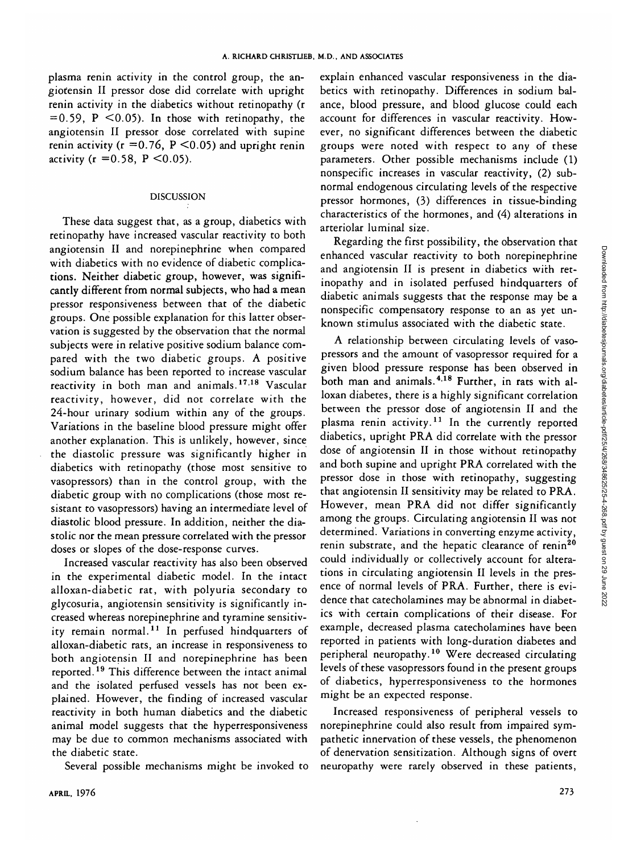plasma renin activity in the control group, the angiofensin II pressor dose did correlate with upright renin activity in the diabetics without retinopathy (r  $= 0.59$ , P  $\leq 0.05$ ). In those with retinopathy, the angiotensin II pressor dose correlated with supine renin activity ( $r = 0.76$ ,  $P \le 0.05$ ) and upright renin activity ( $r = 0.58$ ,  $P \le 0.05$ ).

## DISCUSSION

These data suggest that, as a group, diabetics with retinopathy have increased vascular reactivity to both angiotensin II and norepinephrine when compared with diabetics with no evidence of diabetic complications. Neither diabetic group, however, was significantly different from normal subjects, who had a mean pressor responsiveness between that of the diabetic groups. One possible explanation for this latter observation is suggested by the observation that the normal subjects were in relative positive sodium balance compared with the two diabetic groups. A positive sodium balance has been reported to increase vascular reactivity in both man and animals.<sup>1718</sup> Vascular reactivity, however, did not correlate with the 24-hour urinary sodium within any of the groups. Variations in the baseline blood pressure might offer another explanation. This is unlikely, however, since the diastolic pressure was significantly higher in diabetics with retinopathy (those most sensitive to vasopressors) than in the control group, with the diabetic group with no complications (those most resistant to vasopressors) having an intermediate level of diastolic blood pressure. In addition, neither the diastolic nor the mean pressure correlated with the pressor doses or slopes of the dose-response curves.

Increased vascular reactivity has also been observed in the experimental diabetic model. In the intact alloxan-diabetic rat, with polyuria secondary to glycosuria, angiotensin sensitivity is significantly increased whereas norepinephrine and tyramine sensitivity remain normal.<sup>11</sup> In perfused hindquarters of alloxan-diabetic rats, an increase in responsiveness to both angiotensin II and norepinephrine has been reported.<sup>19</sup> This difference between the intact animal and the isolated perfused vessels has not been explained. However, the finding of increased vascular reactivity in both human diabetics and the diabetic animal model suggests that the hyperresponsiveness may be due to common mechanisms associated with the diabetic state.

Several possible mechanisms might be invoked to

explain enhanced vascular responsiveness in the diabetics with retinopathy. Differences in sodium balance, blood pressure, and blood glucose could each account for differences in vascular reactivity. However, no significant differences between the diabetic groups were noted with respect to any of these parameters. Other possible mechanisms include (1) nonspecific increases in vascular reactivity, (2) subnormal endogenous circulating levels of the respective pressor hormones, (3) differences in tissue-binding characteristics of the hormones, and (4) alterations in arteriolar luminal size.

Regarding the first possibility, the observation that enhanced vascular reactivity to both norepinephrine and angiotensin II is present in diabetics with retinopathy and in isolated perfused hindquarters of diabetic animals suggests that the response may be a nonspecific compensatory response to an as yet unknown stimulus associated with the diabetic state.

A relationship between circulating levels of vasopressors and the amount of vasopressor required for a given blood pressure response has been observed in both man and animals.<sup>4,18</sup> Further, in rats with alloxan diabetes, there is a highly significant correlation between the pressor dose of angiotensin II and the plasma renin activity.<sup>11</sup> In the currently reported diabetics, upright PRA did correlate with the pressor dose of angiotensin II in those without retinopathy and both supine and upright PRA correlated with the pressor dose in those with retinopathy, suggesting that angiotensin II sensitivity may be related to PRA. However, mean PRA did not differ significantly among the groups. Circulating angiotensin II was not determined. Variations in converting enzyme activity, renin substrate, and the hepatic clearance of renin<sup>20</sup> could individually or collectively account for alterations in circulating angiotensin II levels in the presence of normal levels of PRA. Further, there is evidence that catecholamines may be abnormal in diabetics with certain complications of their disease. For example, decreased plasma catecholamines have been reported in patients with long-duration diabetes and peripheral neuropathy.<sup>10</sup> Were decreased circulating levels of these vasopressors found in the present groups of diabetics, hyperresponsiveness to the hormones might be an expected response.

Increased responsiveness of peripheral vessels to norepinephrine could also result from impaired sympathetic innervation of these vessels, the phenomenon of denervation sensitization. Although signs of overt neuropathy were rarely observed in these patients,